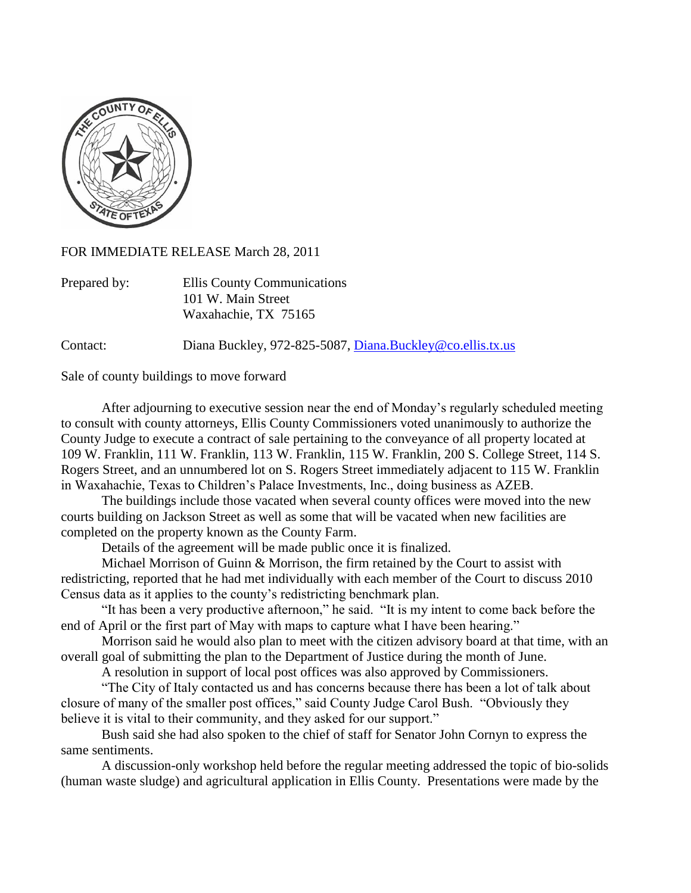

FOR IMMEDIATE RELEASE March 28, 2011

| Prepared by: | Ellis County Communications |
|--------------|-----------------------------|
|              | 101 W. Main Street          |
|              | Waxahachie, TX 75165        |

Contact: Diana Buckley, 972-825-5087, [Diana.Buckley@co.ellis.tx.us](mailto:Diana.Buckley@co.ellis.tx.us)

Sale of county buildings to move forward

After adjourning to executive session near the end of Monday's regularly scheduled meeting to consult with county attorneys, Ellis County Commissioners voted unanimously to authorize the County Judge to execute a contract of sale pertaining to the conveyance of all property located at 109 W. Franklin, 111 W. Franklin, 113 W. Franklin, 115 W. Franklin, 200 S. College Street, 114 S. Rogers Street, and an unnumbered lot on S. Rogers Street immediately adjacent to 115 W. Franklin in Waxahachie, Texas to Children's Palace Investments, Inc., doing business as AZEB.

The buildings include those vacated when several county offices were moved into the new courts building on Jackson Street as well as some that will be vacated when new facilities are completed on the property known as the County Farm.

Details of the agreement will be made public once it is finalized.

Michael Morrison of Guinn & Morrison, the firm retained by the Court to assist with redistricting, reported that he had met individually with each member of the Court to discuss 2010 Census data as it applies to the county's redistricting benchmark plan.

"It has been a very productive afternoon," he said. "It is my intent to come back before the end of April or the first part of May with maps to capture what I have been hearing."

Morrison said he would also plan to meet with the citizen advisory board at that time, with an overall goal of submitting the plan to the Department of Justice during the month of June.

A resolution in support of local post offices was also approved by Commissioners.

"The City of Italy contacted us and has concerns because there has been a lot of talk about closure of many of the smaller post offices," said County Judge Carol Bush. "Obviously they believe it is vital to their community, and they asked for our support."

Bush said she had also spoken to the chief of staff for Senator John Cornyn to express the same sentiments.

A discussion-only workshop held before the regular meeting addressed the topic of bio-solids (human waste sludge) and agricultural application in Ellis County. Presentations were made by the